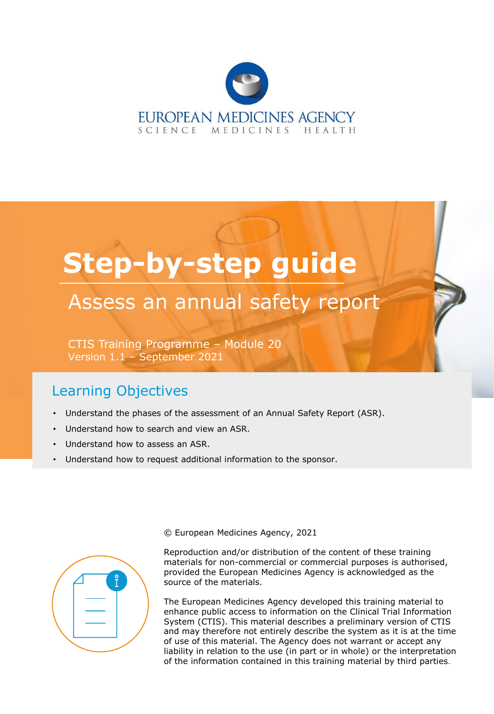

# **Step-by-step guide**

## Assess an annual safety report

CTIS Training Programme – Module 20 Version 1.1 – September 2021

### Learning Objectives

- Understand the phases of the assessment of an Annual Safety Report (ASR).
- Understand how to search and view an ASR.
- Understand how to assess an ASR.
- Understand how to request additional information to the sponsor.



© European Medicines Agency, 2021

Reproduction and/or distribution of the content of these training materials for non-commercial or commercial purposes is authorised, provided the European Medicines Agency is acknowledged as the source of the materials.

The European Medicines Agency developed this training material to enhance public access to information on the Clinical Trial Information System (CTIS). This material describes a preliminary version of CTIS and may therefore not entirely describe the system as it is at the time of use of this material. The Agency does not warrant or accept any liability in relation to the use (in part or in whole) or the interpretation of the information contained in this training material by third parties.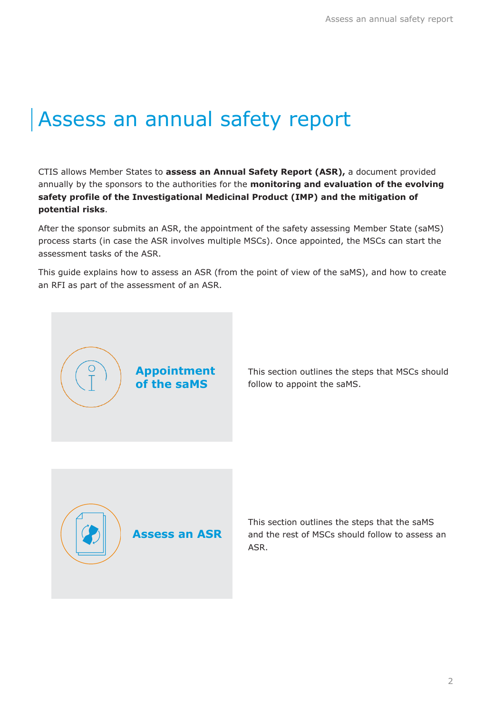# Assess an annual safety report

CTIS allows Member States to **assess an Annual Safety Report (ASR),** a document provided annually by the sponsors to the authorities for the **monitoring and evaluation of the evolving safety profile of the Investigational Medicinal Product (IMP) and the mitigation of potential risks**.

After the sponsor submits an ASR, the appointment of the safety assessing Member State (saMS) process starts (in case the ASR involves multiple MSCs). Once appointed, the MSCs can start the assessment tasks of the ASR.

This guide explains how to assess an ASR (from the point of view of the saMS), and how to create an RFI as part of the assessment of an ASR.



**Appointment of the saMS**

This section outlines the steps that MSCs should follow to appoint the saMS.

This section outlines the steps that the saMS and the rest of MSCs should follow to assess an ASR.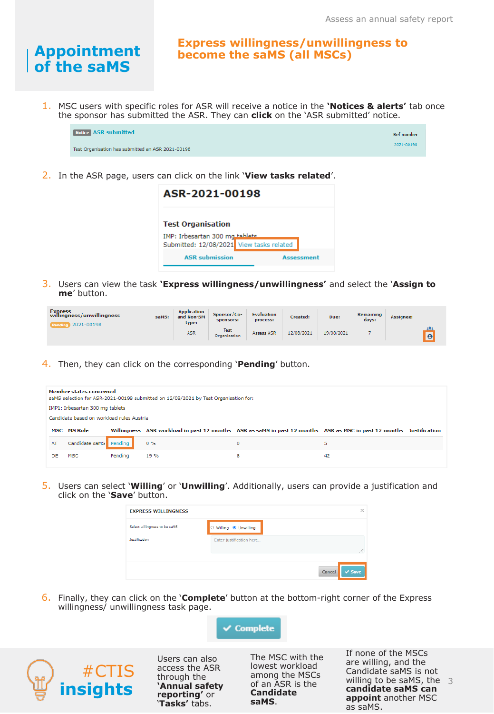### **Appointment of the saMS**

**Express willingness/unwillingness to become the saMS (all MSCs)**

1. MSC users with specific roles for ASR will receive a notice in the **'Notices & alerts'** tab once the sponsor has submitted the ASR. They can **click** on the 'ASR submitted' notice.



2. In the ASR page, users can click on the link '**View tasks related**'.

| ASR-2021-00198                                             |            |  |  |  |  |  |  |
|------------------------------------------------------------|------------|--|--|--|--|--|--|
| <b>Test Organisation</b><br>IMP: Irbesartan 300 mg tablets |            |  |  |  |  |  |  |
| Submitted: 12/08/2021 View tasks related                   |            |  |  |  |  |  |  |
| <b>ASR</b> submission                                      | Assessment |  |  |  |  |  |  |

3. Users can view the task **'Express willingness/unwillingness'** and select the '**Assign to me**' button.

| Express<br>willingness/unwillingness<br>2021-00198<br>Pendi | saMS: | <b>Application</b><br>and Non-SM<br>type: | Sponsor/Co-<br>sponsors:    | <b>Evaluation</b><br>process: | Created:   | Due:       | <b>Remaining</b><br>days: | Assignee:             |
|-------------------------------------------------------------|-------|-------------------------------------------|-----------------------------|-------------------------------|------------|------------|---------------------------|-----------------------|
|                                                             |       | <b>ASR</b>                                | <b>Test</b><br>Organisation | Assess ASR                    | 12/08/2021 | 19/08/2021 |                           | 223<br>$\overline{e}$ |

4. Then, they can click on the corresponding '**Pending**' button.

|    | Member states concerned<br>saMS selection for ASR-2021-00198 submitted on 12/08/2021 by Test Organisation for: |  |                                                                                                                     |   |   |  |  |  |  |  |  |
|----|----------------------------------------------------------------------------------------------------------------|--|---------------------------------------------------------------------------------------------------------------------|---|---|--|--|--|--|--|--|
|    | IMP1: Irbesartan 300 mg tablets                                                                                |  |                                                                                                                     |   |   |  |  |  |  |  |  |
|    | Candidate based on workload rules Austria                                                                      |  |                                                                                                                     |   |   |  |  |  |  |  |  |
|    |                                                                                                                |  |                                                                                                                     |   |   |  |  |  |  |  |  |
|    | <b>MSC MS Role</b>                                                                                             |  | Willingness ASR workload in past 12 months ASR as saMS in past 12 months ASR as MSC in past 12 months Justification |   |   |  |  |  |  |  |  |
| AT | Candidate saMS Pending                                                                                         |  | $0\%$                                                                                                               | 0 | 5 |  |  |  |  |  |  |

5. Users can select '**Willing**' or '**Unwilling**'. Additionally, users can provide a justification and click on the '**Save**' button.

| <b>EXPRESS WILLINGNESS</b>    |                                     | $\times$              |
|-------------------------------|-------------------------------------|-----------------------|
| Select willingness to be saMS | $\circ$ Willing $\bullet$ Unwilling |                       |
| Justification                 | Enter justification here            | //                    |
|                               |                                     |                       |
|                               |                                     | Cancel<br>$\vee$ Save |

6. Finally, they can click on the '**Complete**' button at the bottom-right corner of the Express willingness/ unwillingness task page.





Users can also access the ASR through the **'Annual safety reporting'** or '**Tasks'** tabs.

The MSC with the lowest workload among the MSCs of an ASR is the **Candidate saMS**.

willing to be saMS, the  $3$ If none of the MSCs are willing, and the Candidate saMS is not **candidate saMS can appoint** another MSC as saMS.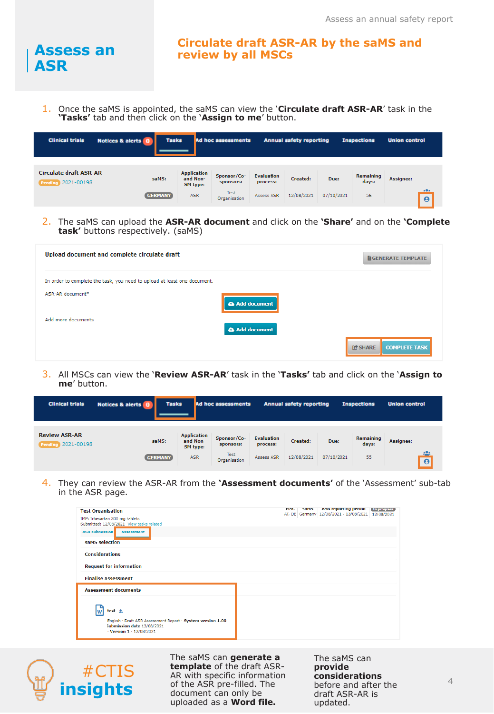

#### **Circulate draft ASR-AR by the saMS and review by all MSCs**

1. Once the saMS is appointed, the saMS can view the '**Circulate draft ASR-AR**' task in the **'Tasks'** tab and then click on the '**Assign to me**' button.

| <b>Clinical trials</b>                                     | Notices & alerts 0 | <b>Tasks</b>                               | <b>Ad hoc assessments</b> |                               | <b>Annual safety reporting</b> |            | <b>Inspections</b> | <b>Union control</b> |
|------------------------------------------------------------|--------------------|--------------------------------------------|---------------------------|-------------------------------|--------------------------------|------------|--------------------|----------------------|
| <b>Circulate draft ASR-AR</b><br><b>Pending 2021-00198</b> | saMS:              | <b>Application</b><br>and Non-<br>SM type: | Sponsor/Co-<br>sponsors:  | <b>Evaluation</b><br>process: | Created:                       | Due:       | Remaining<br>days: | Assignee:            |
|                                                            | <b>GERMANY</b>     | <b>ASR</b>                                 | Test<br>Organisation      | Assess ASR                    | 12/08/2021                     | 07/10/2021 | 56                 | .0.1<br>$\theta$     |

2. The saMS can upload the **ASR-AR document** and click on the **'Share'** and on the **'Complete task'** buttons respectively. (saMS)

| Upload document and complete circulate draft                             |              | <b>GENERATE TEMPLATE</b>               |
|--------------------------------------------------------------------------|--------------|----------------------------------------|
| In order to complete the task, you need to upload at least one document. |              |                                        |
| ASR-AR document*                                                         | Add document |                                        |
| Add more documents                                                       | Add document |                                        |
|                                                                          |              | <b>C'SHARE</b><br><b>COMPLETE TASK</b> |

3. All MSCs can view the '**Review ASR-AR**' task in the '**Tasks'** tab and click on the '**Assign to me**' button.

| <b>Clinical trials</b>                            | Notices & alerts 0 | <b>Tasks</b>                               | <b>Ad hoc assessments</b>   |                               | <b>Annual safety reporting</b> |            | <b>Inspections</b>        | <b>Union control</b>  |
|---------------------------------------------------|--------------------|--------------------------------------------|-----------------------------|-------------------------------|--------------------------------|------------|---------------------------|-----------------------|
| <b>Review ASR-AR</b><br><b>Pending 2021-00198</b> | saMS:              | <b>Application</b><br>and Non-<br>SM type: | Sponsor/Co-<br>sponsors:    | <b>Evaluation</b><br>process: | Created:                       | Due:       | <b>Remaining</b><br>days: | Assignee:             |
|                                                   | GERMANY            | <b>ASR</b>                                 | <b>Test</b><br>Organisation | Assess ASR                    | 12/08/2021                     | 07/10/2021 | 55                        | 585<br>$\overline{e}$ |

4. They can review the ASR-AR from the **'Assessment documents'** of the 'Assessment' sub-tab in the ASR page.

| <b>Test Organisation</b><br>IMP: Irbesartan 300 mg tablets                                              | <b>ASK reporting period</b><br><b>MSC</b><br>sams  <br>In progress<br>AT, DE Germany 12/08/2021 - 13/08/2021 12/08/2021 |
|---------------------------------------------------------------------------------------------------------|-------------------------------------------------------------------------------------------------------------------------|
| Submitted: 12/08/2021 View tasks related<br><b>ASR submission</b><br><b>Assessment</b>                  |                                                                                                                         |
| saMS selection                                                                                          |                                                                                                                         |
| <b>Considerations</b>                                                                                   |                                                                                                                         |
| <b>Request for information</b>                                                                          |                                                                                                                         |
| <b>Finalise assessment</b>                                                                              |                                                                                                                         |
| <b>Assessment documents</b>                                                                             |                                                                                                                         |
| test $\pm$<br>English · Draft ASR Assessment Report · System version 1.00<br>Submission date 12/08/2021 |                                                                                                                         |



The saMS can **generate a template** of the draft ASR-AR with specific information of the ASR pre-filled. The document can only be uploaded as a **Word file.**

The saMS can **provide considerations**  before and after the draft ASR-AR is updated.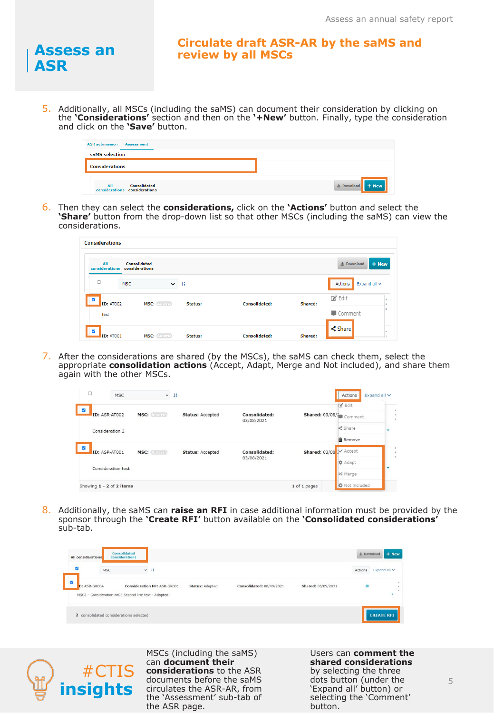

#### **Circulate draft ASR-AR by the saMS and review by all MSCs**

5. Additionally, all MSCs (including the saMS) can document their consideration by clicking on the **'Considerations'** section and then on the **'+New'** button. Finally, type the consideration and click on the **'Save'** button.

| <b>ASR submission Assessment</b>                            |                       |
|-------------------------------------------------------------|-----------------------|
| saMS selection                                              |                       |
| <b>Considerations</b>                                       |                       |
| <b>Consolidated</b><br>All<br>considerations considerations | $+$ New<br>上 Download |

6. Then they can select the **considerations,** click on the **'Actions'** button and select the **'Share'** button from the drop-down list so that other MSCs (including the saMS) can view the considerations.

| <b>Considerations</b>                       |                                |                       |         |                      |         |                              |
|---------------------------------------------|--------------------------------|-----------------------|---------|----------------------|---------|------------------------------|
| All<br>considerations                       | Consolidated<br>considerations |                       |         |                      |         | $+$ New<br>소 Download        |
| $\Box$                                      | <b>MSC</b>                     | $\vee$ $\frac{15}{2}$ |         |                      |         | Actions<br>Expand all $\vee$ |
| $\overline{\mathbf{v}}$<br><b>ID: AT002</b> | MSC: Austria                   |                       | Status: | <b>Consolidated:</b> | Shared: | ■ Edit                       |
| <b>Test</b>                                 |                                |                       |         |                      |         | Comment                      |
| $\overline{a}$<br><b>ID: AT001</b>          | <b>MSC: Austria</b>            |                       | Status: | <b>Consolidated:</b> | Shared: | Share<br>×.                  |

7. After the considerations are shared (by the MSCs), the saMS can check them, select the appropriate **consolidation actions** (Accept, Adapt, Merge and Not included), and share them again with the other MSCs.

| Ò                                               | <b>MSC</b>               | $\check{~}$             | 韓                           |                         |                      | Actions<br>Expand all v            |  |
|-------------------------------------------------|--------------------------|-------------------------|-----------------------------|-------------------------|----------------------|------------------------------------|--|
| $\overline{\mathbf{v}}$<br><b>ID: ASR-AT002</b> | MSC: Austria             | <b>Status: Accepted</b> | Consolidated:<br>03/08/2021 | Shared: 03/08/2 Comment | <b>R</b> Edit        |                                    |  |
|                                                 | Consideration 2          |                         |                             |                         |                      | <share< td=""><td></td></share<>   |  |
| K                                               | ID: ASR-AT001            | MSC: Austria            | <b>Status: Accepted</b>     | Consolidated:           | <b>Shared: 03/08</b> | <b>面 Remove</b><br><b>X</b> Accept |  |
|                                                 | Consideration test       |                         |                             | 03/08/2021              |                      | <b>‡</b> Adapt                     |  |
|                                                 | Showing 1 - 2 of 2 items |                         |                             |                         | 1 of 1 pages         | X Merge<br><b>O</b> Not included   |  |

8. Additionally, the saMS can **raise an RFI** in case additional information must be provided by the sponsor through the **'Create RFI'** button available on the **'Consolidated considerations'**  sub-tab.

| <b>All considerations</b>              | Consolidated<br>considerations                                                       |                        |                          |                    | 土 Download | + New             |
|----------------------------------------|--------------------------------------------------------------------------------------|------------------------|--------------------------|--------------------|------------|-------------------|
| $\overline{v}$<br><b>MSC</b>           | $-11$                                                                                |                        |                          |                    | Actions    | Expand all $\vee$ |
| $\overline{a}$<br>D: ASR-GR004         | Consideration Nº: ASR-GR001<br>MSC1 - Consideration nr03 Second line text - Adapted! | <b>Status: Adapted</b> | Consolidated: 08/09/2021 | Shared: 08/09/2021 | ø          |                   |
| 2 consolidated considerations selected |                                                                                      |                        |                          |                    |            | <b>CREATE RFI</b> |



MSCs (including the saMS) can **document their considerations** to the ASR documents before the saMS circulates the ASR-AR, from the 'Assessment' sub-tab of the ASR page.

Users can **comment the shared considerations**  by selecting the three dots button (under the 'Expand all' button) or selecting the 'Comment' button.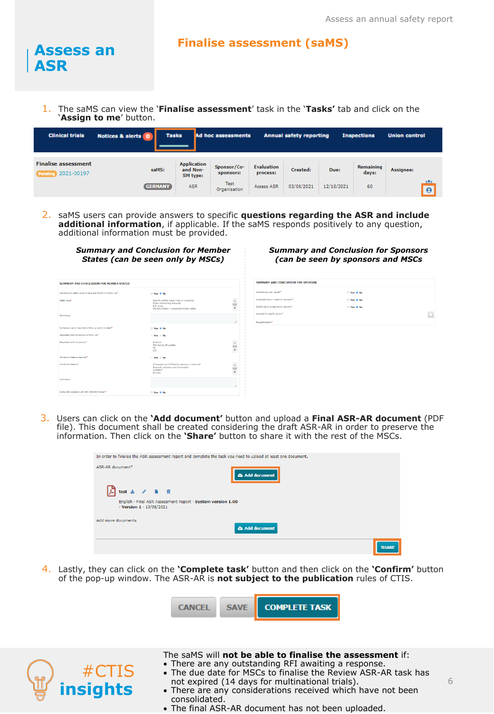#### **Finalise assessment (saMS)**

1. The saMS can view the '**Finalise assessment**' task in the '**Tasks'** tab and click on the '**Assign to me**' button.

| <b>Clinical trials</b>                           | Notices & alerts 0 | <b>Tasks</b>                               | Ad hoc assessments          |                               | <b>Annual safety reporting</b> |            | <b>Inspections</b> | <b>Union control</b>  |
|--------------------------------------------------|--------------------|--------------------------------------------|-----------------------------|-------------------------------|--------------------------------|------------|--------------------|-----------------------|
| <b>Finalise assessment</b><br>Pending 2021-00197 | saMS:              | <b>Application</b><br>and Non-<br>SM type: | Sponsor/Co-<br>sponsors:    | <b>Evaluation</b><br>process: | Created:                       | Due:       | Remaining<br>days: | Assignee:             |
|                                                  | <b>GERMANY</b>     | <b>ASR</b>                                 | <b>Test</b><br>Organisation | Assess ASR                    | 03/08/2021                     | 12/10/2021 | 60                 | 221<br>$\overline{e}$ |

2. saMS users can provide answers to specific **questions regarding the ASR and include additional information**, if applicable. If the saMS responds positively to any question, additional information must be provided.

| <b>Summary and Conclusion for Member</b><br>States (can be seen only by MSCs) |                                                                                                                                    |  |  |  |  |  |
|-------------------------------------------------------------------------------|------------------------------------------------------------------------------------------------------------------------------------|--|--|--|--|--|
| <b>SUMMARY AND CONCLUSION FOR MEMBER STATES</b>                               |                                                                                                                                    |  |  |  |  |  |
| Are there any safety issues to be avere of and/or to follow up?"              | Yes * No                                                                                                                           |  |  |  |  |  |
| Safety (exist)                                                                | Specific safety issue (new or ongoing)<br>Extra monitoring required<br><b>RSI Issue</b><br>Studies halted / suspended dueto safety |  |  |  |  |  |
| <b>Comments</b>                                                               |                                                                                                                                    |  |  |  |  |  |
| Is there any action required to follow up and/or to take? <sup>4</sup>        | O Yes & No.                                                                                                                        |  |  |  |  |  |
| Requested action to sponsor to follow up?"                                    | $Yes \equiv No$                                                                                                                    |  |  |  |  |  |
| Requested action to sponsor®                                                  | Protocol<br>RSI during IB update<br><b>TR</b><br>ICF                                                                               |  |  |  |  |  |
| Corrective measure required?"                                                 | Yes No.                                                                                                                            |  |  |  |  |  |
| Corrective measure"                                                           | If request not fulfilled by sponsor in time set<br>Request changes now/immediatly<br>Suspend<br>Revoke                             |  |  |  |  |  |
| Commanter                                                                     |                                                                                                                                    |  |  |  |  |  |
| Is the ASR compliant with ASR (ICH E2F) format?*                              | ○ Yes ® No                                                                                                                         |  |  |  |  |  |

#### *Summary and Conclusion for Sponsors (can be seen by sponsors and MSCs*

| SUMMARY AND CONCLUSION FOR SPONSOR       |            |        |
|------------------------------------------|------------|--------|
| Are there any new issues?"               | O Yes @ No |        |
| Acceptable action is taken by sponsors?" | O Yes @ No |        |
| Specific action is required by sponsors* | ○ Yes ® No |        |
| Due date for specific action?"           |            | $\Box$ |
| Requested action*                        |            |        |

3. Users can click on the **'Add document'** button and upload a **Final ASR-AR document** (PDF file). This document shall be created considering the draft ASR-AR in order to preserve the information. Then click on the **'Share'** button to share it with the rest of the MSCs.

| In order to finalise the ASR assessment report and complete the task you need to upload at least one document. |              |
|----------------------------------------------------------------------------------------------------------------|--------------|
| ASR-AR document*<br>Add document                                                                               |              |
| $\mathbb{A}$ test $\pm$ / <b>B</b> $\bar{0}$                                                                   |              |
| English · Final ASR Assessment Report · System version 1.00<br>$\cdot$ Version 1 $\cdot$ 13/08/2021            |              |
| Add more documents<br><b>a</b> Add document                                                                    |              |
|                                                                                                                | <b>SHARE</b> |

4. Lastly, they can click on the **'Complete task'** button and then click on the **'Confirm'** button of the pop-up window. The ASR-AR is **not subject to the publication** rules of CTIS.





**Assess an** 

**ASR**

#### The saMS will **not be able to finalise the assessment** if:

- There are any outstanding RFI awaiting a response. • The due date for MSCs to finalise the Review ASR-AR task has
- not expired (14 days for multinational trials).
- There are any considerations received which have not been consolidated.
	- The final ASR-AR document has not been uploaded.